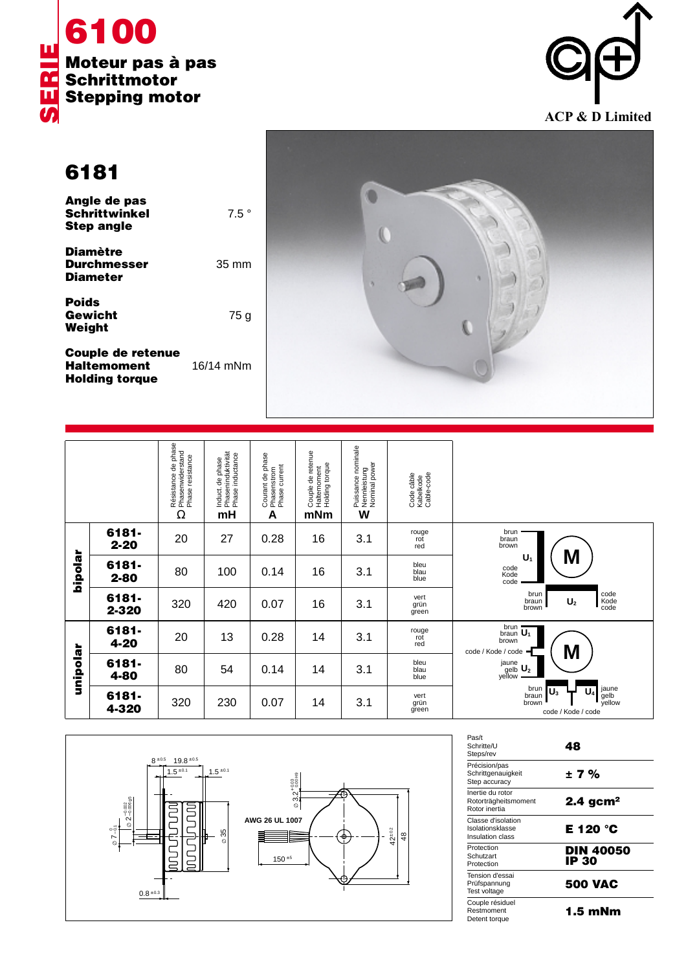



**6181**

| Angle de pas<br><b>Schrittwinkel</b><br><b>Step angle</b> | $7.5^{\circ}$   |
|-----------------------------------------------------------|-----------------|
| <b>Diamètre</b><br><b>Durchmesser</b><br><b>Diameter</b>  | $35 \text{ mm}$ |
| <b>Poids</b><br>Gewicht<br>Weight                         | 75 g            |
|                                                           |                 |

**Couple de retenue Haltemoment** 16/14 mNm **Holding torque**



|          |                   | Résistance de phase<br>Phasenwiderstand<br>Phase resistance<br>Ω | Phaseninduktivität<br>Phase inductance<br>Induct. de phase<br>mH | Courant de phase<br>· Phasenstrom<br>· Phase current<br>A | Couple de retenue<br>Haltemoment<br>Holding torque<br>mNm | , Puissance nominale<br>, Nennleistung<br>, Nominal power<br>W | Code câble<br>Kabelkode<br>Cable-code |                                                                                                 |
|----------|-------------------|------------------------------------------------------------------|------------------------------------------------------------------|-----------------------------------------------------------|-----------------------------------------------------------|----------------------------------------------------------------|---------------------------------------|-------------------------------------------------------------------------------------------------|
| hipolar  | 6181-<br>$2 - 20$ | 20                                                               | 27                                                               | 0.28                                                      | 16                                                        | 3.1                                                            | rouge<br>rot<br>red                   | brun<br>braun<br>brown                                                                          |
|          | 6181-<br>$2 - 80$ | 80                                                               | 100                                                              | 0.14                                                      | 16                                                        | 3.1                                                            | bleu<br>blau<br>blue                  | M<br>U,<br>code<br>Kode<br>code                                                                 |
|          | 6181-<br>2-320    | 320                                                              | 420                                                              | 0.07                                                      | 16                                                        | 3.1                                                            | vert<br>grün<br>green                 | code<br>Kode<br>code<br>brun<br>braun<br>U <sub>2</sub><br>brown                                |
| unipolar | 6181-<br>4-20     | 20                                                               | 13                                                               | 0.28                                                      | 14                                                        | 3.1                                                            | rouge<br>rot<br>red                   | brun<br>brun $\overline{U_1}$<br>brown<br>M<br>code / Kode / code                               |
|          | 6181-<br>4-80     | 80                                                               | 54                                                               | 0.14                                                      | 14                                                        | 3.1                                                            | bleu<br>blau<br>blue                  | $\overset{jaune}{\underset{yellow}{\text{gelb}}}\ \underline{\text{U}_2}$                       |
|          | 6181-<br>4-320    | 320                                                              | 230                                                              | 0.07                                                      | 14                                                        | 3.1                                                            | vert<br>grün<br>green                 | jaune<br>gelb<br>yellow<br>brun<br>U,<br>$\mathsf{U}_3$<br>braun<br>brown<br>code / Kode / code |



| Pas/t<br>Schritte/U<br>Steps/rev                           | 48                        |
|------------------------------------------------------------|---------------------------|
| Précision/pas<br>Schrittgenauigkeit<br>Step accuracy       | ± 7 %                     |
| Inertie du rotor<br>Rotorträgheitsmoment<br>Rotor inertia  | $2.4$ gcm <sup>2</sup>    |
| Classe d'isolation<br>Isolationsklasse<br>Insulation class | E 120 °C                  |
| Protection<br>Schutzart<br>Protection                      | <b>DIN 40050</b><br>IP 30 |
| Tension d'essai<br>Prüfspannung<br>Test voltage            | <b>500 VAC</b>            |
| Couple résiduel<br>Restmoment<br>Detent torque             | 1.5 mNm                   |